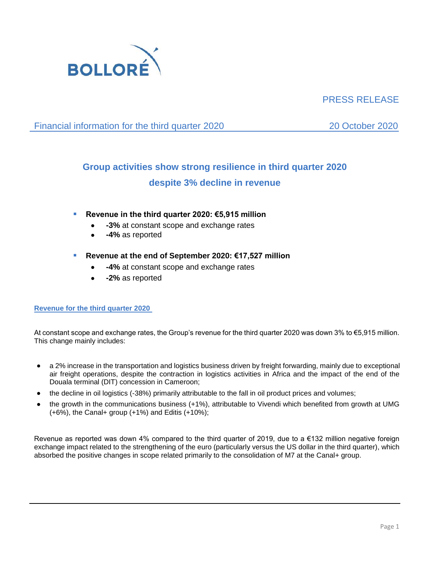

# PRESS RELEASE

Financial information for the third quarter 2020 20 October 2020

# **Group activities show strong resilience in third quarter 2020 despite 3% decline in revenue**

- **Revenue in the third quarter 2020: €5,915 million** 
	- **-3%** at constant scope and exchange rates
	- **-4%** as reported
- **Revenue at the end of September 2020: €17,527 million**
	- **-4%** at constant scope and exchange rates
	- **-2%** as reported

# **Revenue for the third quarter 2020**

At constant scope and exchange rates, the Group's revenue for the third quarter 2020 was down 3% to €5,915 million. This change mainly includes:

- a 2% increase in the transportation and logistics business driven by freight forwarding, mainly due to exceptional air freight operations, despite the contraction in logistics activities in Africa and the impact of the end of the Douala terminal (DIT) concession in Cameroon;
- the decline in oil logistics (-38%) primarily attributable to the fall in oil product prices and volumes;
- the growth in the communications business (+1%), attributable to Vivendi which benefited from growth at UMG (+6%), the Canal+ group (+1%) and Editis (+10%);

Revenue as reported was down 4% compared to the third quarter of 2019, due to a €132 million negative foreign exchange impact related to the strengthening of the euro (particularly versus the US dollar in the third quarter), which absorbed the positive changes in scope related primarily to the consolidation of M7 at the Canal+ group.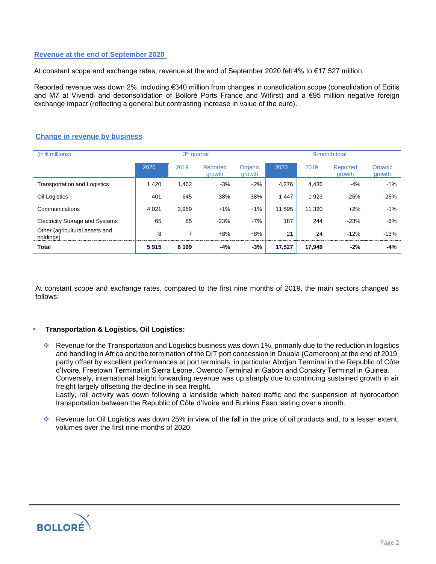# **Revenue at the end of September 2020**

At constant scope and exchange rates, revenue at the end of September 2020 fell 4% to €17,527 million.

Reported revenue was down 2%, including €340 million from changes in consolidation scope (consolidation of Editis and M7 at Vivendi and deconsolidation of Bolloré Ports France and Wifirst) and a €95 million negative foreign exchange impact (reflecting a general but contrasting increase in value of the euro).

|  |  |  |  |  | <b>Change in revenue by business</b> |
|--|--|--|--|--|--------------------------------------|
|--|--|--|--|--|--------------------------------------|

| (in $\epsilon$ millions)                    | 3 <sup>rd</sup> quarter |         |                    |                   | 9-month total |         |                    |                   |  |
|---------------------------------------------|-------------------------|---------|--------------------|-------------------|---------------|---------|--------------------|-------------------|--|
|                                             | 2020                    | 2019    | Reported<br>growth | Organic<br>growth | 2020          | 2019    | Reported<br>growth | Organic<br>growth |  |
| <b>Transportation and Logistics</b>         | 1,420                   | 1,462   | $-3%$              | $+2\%$            | 4,276         | 4,436   | $-4%$              | $-1%$             |  |
| Oil Logistics                               | 401                     | 645     | $-38%$             | $-38%$            | 1 4 4 7       | 1 9 2 3 | $-25%$             | $-25%$            |  |
| Communications                              | 4,021                   | 3.969   | $+1%$              | $+1%$             | 11 595        | 11 320  | $+2%$              | $-1%$             |  |
| <b>Electricity Storage and Systems</b>      | 65                      | 85      | $-23%$             | $-7%$             | 187           | 244     | $-23%$             | $-8%$             |  |
| Other (agricultural assets and<br>holdings) | 8                       | ⇁       | $+8%$              | $+8%$             | 21            | 24      | $-12%$             | $-13%$            |  |
| Total                                       | 5915                    | 6 1 6 9 | -4%                | $-3%$             | 17,527        | 17,949  | $-2%$              | $-4%$             |  |

At constant scope and exchange rates, compared to the first nine months of 2019, the main sectors changed as follows:

# ▪ **Transportation & Logistics, Oil Logistics:**

- ❖ Revenue for the Transportation and Logistics business was down 1%, primarily due to the reduction in logistics and handling in Africa and the termination of the DIT port concession in Douala (Cameroon) at the end of 2019, partly offset by excellent performances at port terminals, in particular Abidjan Terminal in the Republic of Côte d'Ivoire, Freetown Terminal in Sierra Leone, Owendo Terminal in Gabon and Conakry Terminal in Guinea. Conversely, international freight forwarding revenue was up sharply due to continuing sustained growth in air freight largely offsetting the decline in sea freight. Lastly, rail activity was down following a landslide which halted traffic and the suspension of hydrocarbon transportation between the Republic of Côte d'Ivoire and Burkina Faso lasting over a month.
- ❖ Revenue for Oil Logistics was down 25% in view of the fall in the price of oil products and, to a lesser extent, volumes over the first nine months of 2020.

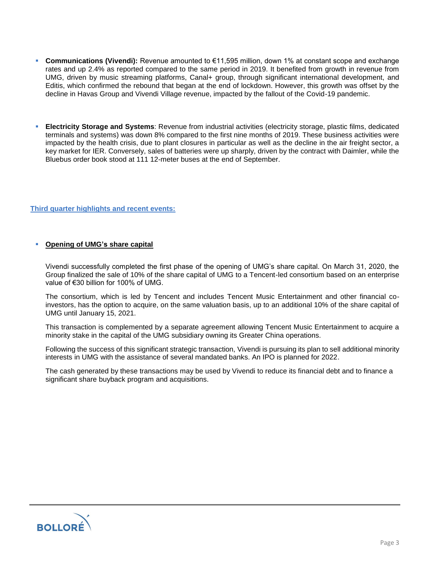- **Communications (Vivendi):** Revenue amounted to €11,595 million, down 1% at constant scope and exchange rates and up 2.4% as reported compared to the same period in 2019. It benefited from growth in revenue from UMG, driven by music streaming platforms, Canal+ group, through significant international development, and Editis, which confirmed the rebound that began at the end of lockdown. However, this growth was offset by the decline in Havas Group and Vivendi Village revenue, impacted by the fallout of the Covid-19 pandemic.
- **Electricity Storage and Systems**: Revenue from industrial activities (electricity storage, plastic films, dedicated terminals and systems) was down 8% compared to the first nine months of 2019. These business activities were impacted by the health crisis, due to plant closures in particular as well as the decline in the air freight sector, a key market for IER. Conversely, sales of batteries were up sharply, driven by the contract with Daimler, while the Bluebus order book stood at 111 12-meter buses at the end of September.

## **Third quarter highlights and recent events:**

## ▪ **Opening of UMG's share capital**

Vivendi successfully completed the first phase of the opening of UMG's share capital. On March 31, 2020, the Group finalized the sale of 10% of the share capital of UMG to a Tencent-led consortium based on an enterprise value of €30 billion for 100% of UMG.

The consortium, which is led by Tencent and includes Tencent Music Entertainment and other financial coinvestors, has the option to acquire, on the same valuation basis, up to an additional 10% of the share capital of UMG until January 15, 2021.

This transaction is complemented by a separate agreement allowing Tencent Music Entertainment to acquire a minority stake in the capital of the UMG subsidiary owning its Greater China operations.

Following the success of this significant strategic transaction, Vivendi is pursuing its plan to sell additional minority interests in UMG with the assistance of several mandated banks. An IPO is planned for 2022.

The cash generated by these transactions may be used by Vivendi to reduce its financial debt and to finance a significant share buyback program and acquisitions.

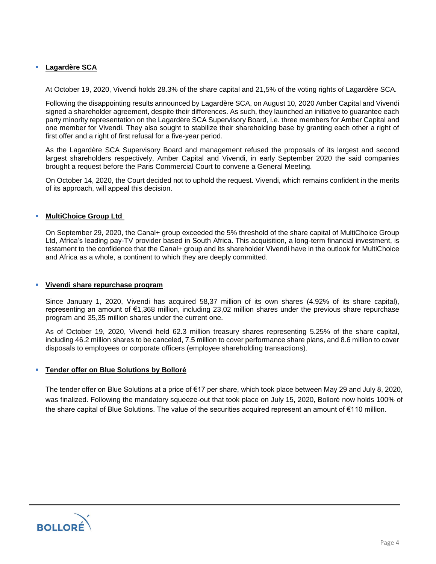# Lagardère SCA

At October 19, 2020, Vivendi holds 28.3% of the share capital and 21,5% of the voting rights of Lagardère SCA.

Following the disappointing results announced by Lagardère SCA, on August 10, 2020 Amber Capital and Vivendi signed a shareholder agreement, despite their differences. As such, they launched an initiative to guarantee each party minority representation on the Lagardère SCA Supervisory Board, i.e. three members for Amber Capital and one member for Vivendi. They also sought to stabilize their shareholding base by granting each other a right of first offer and a right of first refusal for a five-year period.

As the Lagardère SCA Supervisory Board and management refused the proposals of its largest and second largest shareholders respectively, Amber Capital and Vivendi, in early September 2020 the said companies brought a request before the Paris Commercial Court to convene a General Meeting.

On October 14, 2020, the Court decided not to uphold the request. Vivendi, which remains confident in the merits of its approach, will appeal this decision.

## **MultiChoice Group Ltd**

On September 29, 2020, the Canal+ group exceeded the 5% threshold of the share capital of MultiChoice Group Ltd, Africa's leading pay-TV provider based in South Africa. This acquisition, a long-term financial investment, is testament to the confidence that the Canal+ group and its shareholder Vivendi have in the outlook for MultiChoice and Africa as a whole, a continent to which they are deeply committed.

#### ▪ **Vivendi share repurchase program**

Since January 1, 2020, Vivendi has acquired 58,37 million of its own shares (4.92% of its share capital), representing an amount of €1,368 million, including 23,02 million shares under the previous share repurchase program and 35,35 million shares under the current one.

As of October 19, 2020, Vivendi held 62.3 million treasury shares representing 5.25% of the share capital, including 46.2 million shares to be canceled, 7.5 million to cover performance share plans, and 8.6 million to cover disposals to employees or corporate officers (employee shareholding transactions).

#### ▪ **Tender offer on Blue Solutions by Bolloré**

The tender offer on Blue Solutions at a price of €17 per share, which took place between May 29 and July 8, 2020, was finalized. Following the mandatory squeeze-out that took place on July 15, 2020, Bolloré now holds 100% of the share capital of Blue Solutions. The value of the securities acquired represent an amount of €110 million.